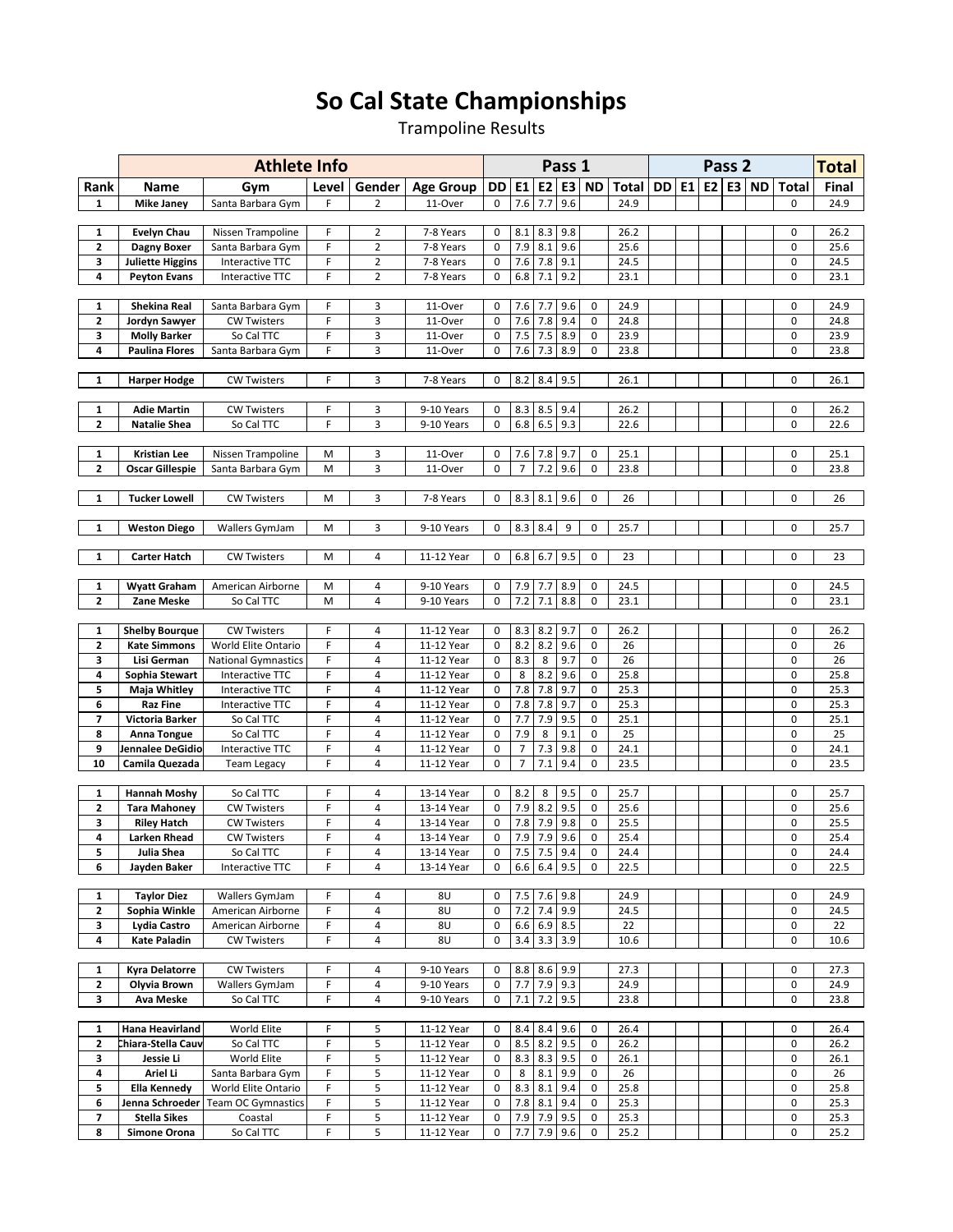## So Cal State Championships

Trampoline Results

|                              |                                        | <b>Athlete Info</b>                           |        |                               |                          | Pass 1                     |                                  |            |                          |                  |              |           | <b>Total</b> |                   |                    |                  |              |
|------------------------------|----------------------------------------|-----------------------------------------------|--------|-------------------------------|--------------------------|----------------------------|----------------------------------|------------|--------------------------|------------------|--------------|-----------|--------------|-------------------|--------------------|------------------|--------------|
| Rank                         | Name                                   | Gym                                           | Level  | Gender                        | <b>Age Group</b>         | DD                         | E <sub>1</sub>                   |            |                          | E2 E3 ND         | Total        | <b>DD</b> |              | Pass <sub>2</sub> | <b>E1 E2 E3 ND</b> | <b>Total</b>     | Final        |
| $\mathbf{1}$                 | <b>Mike Janey</b>                      | Santa Barbara Gym                             | F      | $\overline{2}$                | 11-Over                  | 0                          | 7.6                              | 7.7        | 9.6                      |                  | 24.9         |           |              |                   |                    | $\Omega$         | 24.9         |
|                              |                                        |                                               |        |                               |                          |                            |                                  |            |                          |                  |              |           |              |                   |                    |                  |              |
| 1                            | <b>Evelyn Chau</b>                     | Nissen Trampoline                             | F      | $\overline{2}$                | 7-8 Years                | 0                          | 8.1                              | 8.3        | 9.8                      |                  | 26.2         |           |              |                   |                    | 0                | 26.2         |
| $\mathbf{z}$<br>3            | Dagny Boxer<br><b>Juliette Higgins</b> | Santa Barbara Gym<br>Interactive TTC          | F<br>F | $\mathbf 2$<br>$\overline{2}$ | 7-8 Years<br>7-8 Years   | $\mathbf 0$<br>$\mathbf 0$ | 7.9<br>7.6                       | 8.1<br>7.8 | 9.6<br>9.1               |                  | 25.6<br>24.5 |           |              |                   |                    | 0<br>0           | 25.6<br>24.5 |
| 4                            | <b>Peyton Evans</b>                    | Interactive TTC                               | F      | $\overline{2}$                | 7-8 Years                | 0                          | 6.8                              | 7.1        | 9.2                      |                  | 23.1         |           |              |                   |                    | 0                | 23.1         |
|                              |                                        |                                               |        |                               |                          |                            |                                  |            |                          |                  |              |           |              |                   |                    |                  |              |
| 1                            | <b>Shekina Real</b>                    | Santa Barbara Gym                             | F      | 3                             | 11-Over                  | 0                          | 7.6                              | 7.7        | 9.6                      | 0                | 24.9         |           |              |                   |                    | $\mathbf 0$      | 24.9         |
| $\mathbf{z}$                 | Jordyn Sawyer                          | <b>CW Twisters</b>                            | F      | 3                             | 11-Over                  | $\mathbf 0$                | 7.6                              | 7.8        | 9.4                      | $\pmb{0}$        | 24.8         |           |              |                   |                    | 0                | 24.8         |
| 3                            | <b>Molly Barker</b>                    | So Cal TTC                                    | F      | 3                             | 11-Over                  | $\mathbf 0$                | 7.5                              | 7.5        | 8.9                      | 0                | 23.9         |           |              |                   |                    | 0                | 23.9         |
| 4                            | <b>Paulina Flores</b>                  | Santa Barbara Gym                             | F      | 3                             | 11-Over                  | $\mathbf 0$                | 7.6                              | 7.3        | 8.9                      | 0                | 23.8         |           |              |                   |                    | 0                | 23.8         |
| $\mathbf{1}$                 | <b>Harper Hodge</b>                    | <b>CW Twisters</b>                            | F      | 3                             | 7-8 Years                | 0                          | 8.2                              |            | $8.4$ 9.5                |                  | 26.1         |           |              |                   |                    | 0                | 26.1         |
|                              |                                        |                                               |        |                               |                          |                            |                                  |            |                          |                  |              |           |              |                   |                    |                  |              |
| 1                            | <b>Adie Martin</b>                     | <b>CW Twisters</b>                            | F      | 3                             | 9-10 Years               | 0                          | 8.3                              | 8.5        | 9.4                      |                  | 26.2         |           |              |                   |                    | 0                | 26.2         |
| $\overline{\mathbf{c}}$      | <b>Natalie Shea</b>                    | So Cal TTC                                    | F      | 3                             | 9-10 Years               | $\mathbf 0$                | 6.8                              | 6.5        | 9.3                      |                  | 22.6         |           |              |                   |                    | 0                | 22.6         |
|                              |                                        |                                               |        |                               |                          |                            |                                  |            |                          |                  |              |           |              |                   |                    |                  |              |
| $\mathbf{1}$<br>$\mathbf{z}$ | <b>Kristian Lee</b>                    | Nissen Trampoline                             | M      | 3                             | 11-Over<br>11-Over       | 0<br>$\mathbf 0$           | 7.6<br>$\overline{7}$            | 7.8        | 9.7                      | 0<br>0           | 25.1         |           |              |                   |                    | 0<br>$\mathbf 0$ | 25.1         |
|                              | <b>Oscar Gillespie</b>                 | Santa Barbara Gym                             | M      | 3                             |                          |                            |                                  | 7.2        | 9.6                      |                  | 23.8         |           |              |                   |                    |                  | 23.8         |
| 1                            | <b>Tucker Lowell</b>                   | <b>CW Twisters</b>                            | м      | 3                             | 7-8 Years                | 0                          | 8.3                              | 8.1        | 9.6                      | 0                | 26           |           |              |                   |                    | 0                | 26           |
|                              |                                        |                                               |        |                               |                          |                            |                                  |            |                          |                  |              |           |              |                   |                    |                  |              |
| 1                            | <b>Weston Diego</b>                    | Wallers GymJam                                | M      | 3                             | 9-10 Years               | 0                          | 8.3                              | 8.4        | 9                        | 0                | 25.7         |           |              |                   |                    | $\mathbf 0$      | 25.7         |
|                              |                                        |                                               |        |                               |                          |                            |                                  |            |                          |                  |              |           |              |                   |                    |                  |              |
| $\mathbf{1}$                 | <b>Carter Hatch</b>                    | <b>CW Twisters</b>                            | м      | 4                             | 11-12 Year               | 0                          | 6.8                              | 6.7        | 9.5                      | 0                | 23           |           |              |                   |                    | 0                | 23           |
| 1                            | <b>Wyatt Graham</b>                    | American Airborne                             | M      | 4                             | 9-10 Years               | 0                          | 7.9                              | 7.7        | 8.9                      | 0                | 24.5         |           |              |                   |                    | 0                | 24.5         |
| $\mathbf{z}$                 | <b>Zane Meske</b>                      | So Cal TTC                                    | M      | $\pmb{4}$                     | 9-10 Years               | $\mathbf 0$                | 7.2                              | $7.1\,$    | 8.8                      | $\pmb{0}$        | 23.1         |           |              |                   |                    | $\mathbf 0$      | 23.1         |
|                              |                                        |                                               |        |                               |                          |                            |                                  |            |                          |                  |              |           |              |                   |                    |                  |              |
| 1                            | <b>Shelby Bourque</b>                  | <b>CW Twisters</b>                            | F      | 4                             | 11-12 Year               | 0                          | 8.3                              | 8.2        | 9.7                      | 0                | 26.2         |           |              |                   |                    | 0                | 26.2         |
| $\mathbf{z}$<br>3            | <b>Kate Simmons</b>                    | World Elite Ontario                           | F<br>F | $\overline{4}$<br>$\pmb{4}$   | 11-12 Year               | 0<br>$\mathbf 0$           | 8.2<br>8.3                       | 8.2        | 9.6                      | 0<br>0           | 26<br>26     |           |              |                   |                    | 0<br>0           | 26<br>26     |
| 4                            | Lisi German<br>Sophia Stewart          | <b>National Gymnastics</b><br>Interactive TTC | F      | 4                             | 11-12 Year<br>11-12 Year | 0                          | 8                                | 8<br>8.2   | 9.7<br>9.6               | 0                | 25.8         |           |              |                   |                    | 0                | 25.8         |
| 5                            | Maja Whitley                           | Interactive TTC                               | F      | $\overline{4}$                | 11-12 Year               | $\mathbf 0$                | 7.8                              | 7.8        | 9.7                      | $\pmb{0}$        | 25.3         |           |              |                   |                    | 0                | 25.3         |
| 6                            | <b>Raz Fine</b>                        | Interactive TTC                               | F      | $\overline{4}$                | 11-12 Year               | $\mathbf 0$                | 7.8                              | 7.8        | 9.7                      | 0                | 25.3         |           |              |                   |                    | 0                | 25.3         |
| 7                            | Victoria Barker                        | So Cal TTC                                    | F      | $\overline{4}$                | 11-12 Year               | 0                          | 7.7                              | 7.9        | 9.5                      | 0                | 25.1         |           |              |                   |                    | 0                | 25.1         |
| 8                            | Anna Tongue                            | So Cal TTC                                    | F      | 4                             | 11-12 Year               | 0                          | 7.9                              | 8          | 9.1                      | 0                | 25           |           |              |                   |                    | 0                | 25           |
| 9<br>10                      | Jennalee DeGidio                       | Interactive TTC                               | F<br>F | 4<br>$\overline{4}$           | 11-12 Year<br>11-12 Year | 0<br>$\mathbf 0$           | $\overline{7}$<br>$\overline{7}$ | 7.3<br>7.1 | 9.8<br>9.4               | 0<br>$\mathbf 0$ | 24.1         |           |              |                   |                    | 0<br>0           | 24.1<br>23.5 |
|                              | Camila Quezada                         | <b>Team Legacy</b>                            |        |                               |                          |                            |                                  |            |                          |                  | 23.5         |           |              |                   |                    |                  |              |
| 1                            | <b>Hannah Moshy</b>                    | So Cal TTC                                    | F      | 4                             | 13-14 Year               | 0                          | 8.2                              | 8          | 9.5                      | 0                | 25.7         |           |              |                   |                    | 0                | 25.7         |
| $\mathbf{z}$                 | <b>Tara Mahoney</b>                    | <b>CW Twisters</b>                            | F      | $\overline{4}$                | 13-14 Year               | $\mathbf 0$                | 7.9                              | 8.2        | 9.5                      | 0                | 25.6         |           |              |                   |                    | $\mathbf 0$      | 25.6         |
| 3                            | <b>Riley Hatch</b>                     | <b>CW Twisters</b>                            | F      | 4                             | 13-14 Year               | $\mathbf 0$                | 7.8                              | 7.9        | 9.8                      | 0                | 25.5         |           |              |                   |                    | 0                | 25.5         |
| 4                            | Larken Rhead                           | <b>CW Twisters</b>                            | F      | 4                             | 13-14 Year               | 0                          | 7.9                              | 7.9        | 9.6                      | 0                | 25.4         |           |              |                   |                    | 0                | 25.4         |
| 5<br>6                       | Julia Shea<br>Jayden Baker             | So Cal TTC<br>Interactive TTC                 | F<br>F | 4<br>4                        | 13-14 Year<br>13-14 Year | 0<br>$\mathbf 0$           | 6.6                              |            | 7.5 7.5 9.4<br>$6.4$ 9.5 | 0<br>$\pmb{0}$   | 24.4<br>22.5 |           |              |                   |                    | 0<br>0           | 24.4<br>22.5 |
|                              |                                        |                                               |        |                               |                          |                            |                                  |            |                          |                  |              |           |              |                   |                    |                  |              |
| 1                            | <b>Taylor Diez</b>                     | Wallers GymJam                                | F      | 4                             | 8U                       | 0                          | 7.5                              |            | 7.6 9.8                  |                  | 24.9         |           |              |                   |                    | 0                | 24.9         |
| 2                            | Sophia Winkle                          | American Airborne                             | F      | 4                             | 8U                       | $\mathbf{0}$               | 7.2                              |            | 7.4 9.9                  |                  | 24.5         |           |              |                   |                    | 0                | 24.5         |
| 3                            | Lydia Castro                           | American Airborne                             | F      | 4                             | 8U                       | 0                          |                                  |            | 6.6 6.9 8.5              |                  | 22           |           |              |                   |                    | 0                | 22           |
| 4                            | Kate Paladin                           | <b>CW Twisters</b>                            | F.     | 4                             | 8U                       | $\mathbf 0$                | 3.4                              |            | $3.3$ 3.9                |                  | 10.6         |           |              |                   |                    | 0                | 10.6         |
| 1                            | <b>Kyra Delatorre</b>                  | <b>CW Twisters</b>                            | F      | 4                             | 9-10 Years               | 0                          | 8.8                              | 8.6        | 9.9                      |                  | 27.3         |           |              |                   |                    | 0                | 27.3         |
| 2                            | Olyvia Brown                           | Wallers GymJam                                | F      | 4                             | 9-10 Years               | $\mathbf 0$                | 7.7                              |            | 7.9 9.3                  |                  | 24.9         |           |              |                   |                    | 0                | 24.9         |
| 3                            | Ava Meske                              | So Cal TTC                                    | F      | 4                             | 9-10 Years               | 0                          | 7.1                              |            | $7.2$ 9.5                |                  | 23.8         |           |              |                   |                    | 0                | 23.8         |
|                              |                                        |                                               |        |                               |                          |                            |                                  |            |                          |                  |              |           |              |                   |                    |                  |              |
| 1                            | Hana Heavirland                        | World Elite                                   | F      | 5                             | 11-12 Year               | 0                          | 8.4                              | 8.4        | 9.6                      | 0                | 26.4         |           |              |                   |                    | 0                | 26.4         |
| 2<br>3                       | Chiara-Stella Cauv<br>Jessie Li        | So Cal TTC<br>World Elite                     | F<br>F | 5<br>5                        | 11-12 Year<br>11-12 Year | 0<br>0                     | 8.5<br>8.3                       |            | $8.2$ 9.5<br>8.3 9.5     | 0<br>0           | 26.2<br>26.1 |           |              |                   |                    | 0<br>0           | 26.2<br>26.1 |
| 4                            | Ariel Li                               | Santa Barbara Gym                             | F      | 5                             | 11-12 Year               | 0                          | 8                                |            | 8.1 9.9                  | 0                | 26           |           |              |                   |                    | 0                | 26           |
| 5                            | <b>Ella Kennedy</b>                    | World Elite Ontario                           | F      | 5                             | 11-12 Year               | 0                          | 8.3                              | $8.1\,$    | 9.4                      | 0                | 25.8         |           |              |                   |                    | 0                | 25.8         |
| 6                            | Jenna Schroeder                        | Team OC Gymnastics                            | F      | 5                             | 11-12 Year               | 0                          | 7.8                              |            | 8.1 9.4                  | 0                | 25.3         |           |              |                   |                    | 0                | 25.3         |
| 7                            | <b>Stella Sikes</b>                    | Coastal                                       | F      | 5                             | 11-12 Year               | 0                          | 7.9                              |            | $7.9$ 9.5                | 0                | 25.3         |           |              |                   |                    | 0                | 25.3         |
| 8                            | Simone Orona                           | So Cal TTC                                    | F      | 5                             | 11-12 Year               | 0                          | 7.7                              |            | 7.9 9.6                  | 0                | 25.2         |           |              |                   |                    | 0                | 25.2         |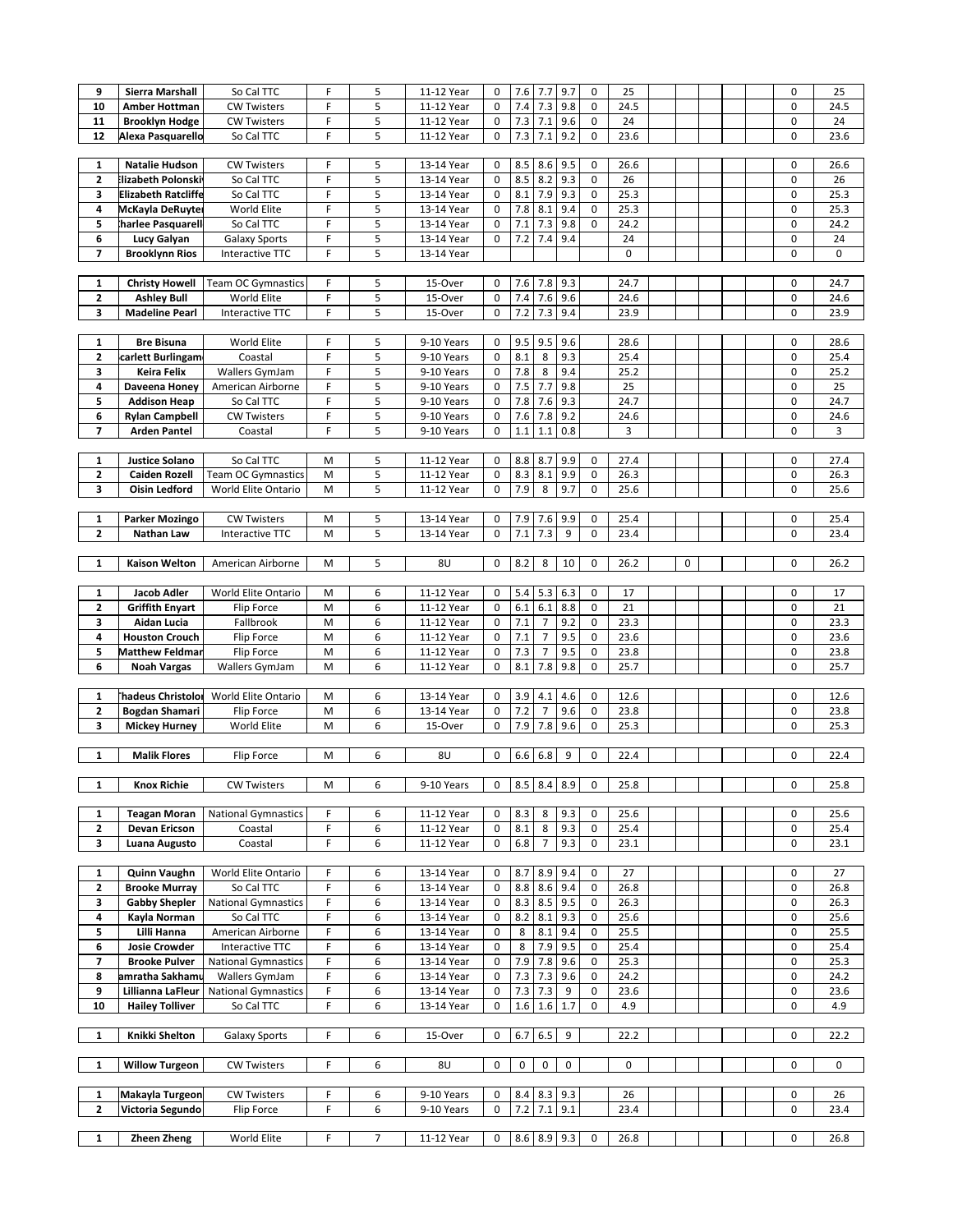| 9                       | Sierra Marshall            |                            | F |                |            |              | 7.6   |                | 9.7               | 0           |           |           |  | 0                |      |
|-------------------------|----------------------------|----------------------------|---|----------------|------------|--------------|-------|----------------|-------------------|-------------|-----------|-----------|--|------------------|------|
|                         |                            | So Cal TTC                 |   | 5              | 11-12 Year | 0            |       | 7.7            |                   |             | 25        |           |  |                  | 25   |
| 10                      | <b>Amber Hottman</b>       | <b>CW Twisters</b>         | F | 5              | 11-12 Year | $\mathbf 0$  | 7.4   | 7.3            | 9.8               | 0           | 24.5      |           |  | $\mathbf 0$      | 24.5 |
| 11                      | <b>Brooklyn Hodge</b>      | <b>CW Twisters</b>         | F | 5              | 11-12 Year | $\mathbf 0$  | 7.3   | 7.1            | 9.6               | 0           | 24        |           |  | $\boldsymbol{0}$ | 24   |
| 12                      | Alexa Pasquarello          | So Cal TTC                 | F | 5              | 11-12 Year | $\mathbf 0$  | 7.3   | 7.1            | 9.2               | 0           | 23.6      |           |  | $\boldsymbol{0}$ | 23.6 |
|                         |                            |                            |   |                |            |              |       |                |                   |             |           |           |  |                  |      |
|                         |                            |                            | F |                |            |              |       |                |                   | 0           |           |           |  | $\mathbf 0$      |      |
| $\mathbf{1}$            | <b>Natalie Hudson</b>      | <b>CW Twisters</b>         |   | 5              | 13-14 Year | 0            | 8.5   | 8.6            | 9.5               |             | 26.6      |           |  |                  | 26.6 |
| $\mathbf{z}$            | <b>Elizabeth Polonski</b>  | So Cal TTC                 | F | 5              | 13-14 Year | $\mathbf 0$  | 8.5   | 8.2            | 9.3               | 0           | 26        |           |  | $\mathbf 0$      | 26   |
| 3                       | <b>Elizabeth Ratcliffe</b> | So Cal TTC                 | F | 5              | 13-14 Year | $\mathbf 0$  | 8.1   | 7.9            | 9.3               | 0           | 25.3      |           |  | $\boldsymbol{0}$ | 25.3 |
| 4                       | McKayla DeRuyter           | World Elite                | F | 5              | 13-14 Year | $\mathbf 0$  | 7.8   | 8.1            | 9.4               | $\mathbf 0$ | 25.3      |           |  | $\mathbf 0$      | 25.3 |
| 5                       | harlee Pasquarell          | So Cal TTC                 | F | 5              | 13-14 Year | $\Omega$     | 7.1   | 7.3            | 9.8               | 0           | 24.2      |           |  | 0                | 24.2 |
|                         |                            |                            |   |                |            |              |       |                |                   |             |           |           |  |                  |      |
| 6                       | Lucy Galyan                | Galaxy Sports              | F | 5              | 13-14 Year | 0            | $7.2$ | 7.4            | 9.4               |             | 24        |           |  | $\boldsymbol{0}$ | 24   |
| 7                       | <b>Brooklynn Rios</b>      | Interactive TTC            | F | 5              | 13-14 Year |              |       |                |                   |             | $\pmb{0}$ |           |  | $\mathbf 0$      | 0    |
|                         |                            |                            |   |                |            |              |       |                |                   |             |           |           |  |                  |      |
| $\mathbf{1}$            | <b>Christy Howell</b>      | <b>Team OC Gymnastics</b>  | F | 5              | 15-Over    | 0            | 7.6   | 7.8            | 9.3               |             | 24.7      |           |  | 0                | 24.7 |
|                         |                            |                            |   |                |            |              |       |                |                   |             |           |           |  |                  |      |
| 2                       | <b>Ashley Bull</b>         | World Elite                | F | 5              | 15-Over    | $\mathbf 0$  | 7.4   | 7.6            | 9.6               |             | 24.6      |           |  | $\mathbf 0$      | 24.6 |
| 3                       | <b>Madeline Pearl</b>      | Interactive TTC            | F | 5              | 15-Over    | 0            | 7.2   | 7.3            | 9.4               |             | 23.9      |           |  | 0                | 23.9 |
|                         |                            |                            |   |                |            |              |       |                |                   |             |           |           |  |                  |      |
| $\mathbf{1}$            | <b>Bre Bisuna</b>          | World Elite                | F | 5              | 9-10 Years | 0            | 9.5   | 9.5            | 9.6               |             | 28.6      |           |  | 0                | 28.6 |
|                         |                            |                            | F |                |            |              |       |                |                   |             |           |           |  |                  |      |
| $\overline{\mathbf{c}}$ | carlett Burlingam          | Coastal                    |   | 5              | 9-10 Years | 0            | 8.1   | 8              | 9.3               |             | 25.4      |           |  | $\mathbf 0$      | 25.4 |
| 3                       | <b>Keira Felix</b>         | Wallers GymJam             | F | 5              | 9-10 Years | $\mathbf 0$  | 7.8   | 8              | 9.4               |             | 25.2      |           |  | $\mathbf 0$      | 25.2 |
| 4                       | Daveena Honev              | American Airborne          | F | 5              | 9-10 Years | $\mathbf 0$  | 7.5   | 7.7            | 9.8               |             | 25        |           |  | 0                | 25   |
| 5                       | <b>Addison Heap</b>        | So Cal TTC                 | F | 5              | 9-10 Years | $\mathbf 0$  | 7.8   | 7.6            | 9.3               |             | 24.7      |           |  | $\mathbf 0$      | 24.7 |
| 6                       | <b>Rylan Campbell</b>      | <b>CW Twisters</b>         | F | 5              | 9-10 Years | 0            | 7.6   | 7.8            | 9.2               |             | 24.6      |           |  | 0                | 24.6 |
|                         |                            |                            |   |                |            |              |       |                |                   |             |           |           |  |                  |      |
| $\overline{ }$          | <b>Arden Pantel</b>        | Coastal                    | F | 5              | 9-10 Years | $\mathbf 0$  | 1.1   | 1.1            | 0.8               |             | 3         |           |  | 0                | 3    |
|                         |                            |                            |   |                |            |              |       |                |                   |             |           |           |  |                  |      |
| 1                       | <b>Justice Solano</b>      | So Cal TTC                 | M | 5              | 11-12 Year | 0            | 8.8   | 8.7            | 9.9               | 0           | 27.4      |           |  | 0                | 27.4 |
| $\overline{\mathbf{c}}$ | <b>Caiden Rozell</b>       | <b>Team OC Gymnastics</b>  | M | 5              | 11-12 Year | $\mathbf 0$  | 8.3   | 8.1            | 9.9               | 0           | 26.3      |           |  | $\boldsymbol{0}$ | 26.3 |
|                         |                            |                            |   |                |            |              |       |                |                   |             |           |           |  | $\mathbf 0$      |      |
| 3                       | <b>Oisin Ledford</b>       | World Elite Ontario        | M | 5              | 11-12 Year | $\mathbf 0$  | 7.9   | 8              | 9.7               | 0           | 25.6      |           |  |                  | 25.6 |
|                         |                            |                            |   |                |            |              |       |                |                   |             |           |           |  |                  |      |
| $\mathbf{1}$            | <b>Parker Mozingo</b>      | <b>CW Twisters</b>         | M | 5              | 13-14 Year | 0            | 7.9   | 7.6            | 9.9               | 0           | 25.4      |           |  | 0                | 25.4 |
| $\mathbf{2}$            | Nathan Law                 | Interactive TTC            | M | 5              | 13-14 Year | $\mathbf{0}$ | 7.1   | 7.3            | 9                 | 0           | 23.4      |           |  | 0                | 23.4 |
|                         |                            |                            |   |                |            |              |       |                |                   |             |           |           |  |                  |      |
|                         |                            |                            |   |                |            |              |       |                |                   |             |           |           |  |                  |      |
| $\mathbf{1}$            | Kaison Welton              | American Airborne          | M | 5              | 8U         | 0            | 8.2   | 8              | 10                | 0           | 26.2      | $\pmb{0}$ |  | 0                | 26.2 |
|                         |                            |                            |   |                |            |              |       |                |                   |             |           |           |  |                  |      |
| 1                       | Jacob Adler                | World Elite Ontario        | M | 6              | 11-12 Year | 0            | 5.4   | 5.3            | 6.3               | 0           | 17        |           |  | 0                | 17   |
| $\mathbf{z}$            | <b>Griffith Enyart</b>     | Flip Force                 | M | 6              | 11-12 Year | $\mathbf 0$  | 6.1   | 6.1            | 8.8               | 0           | 21        |           |  | $\boldsymbol{0}$ | 21   |
| 3                       | Aidan Lucia                | Fallbrook                  | M | 6              | 11-12 Year | 0            | 7.1   | $\overline{7}$ | 9.2               | 0           | 23.3      |           |  | 0                | 23.3 |
|                         |                            |                            |   |                |            |              |       |                |                   |             |           |           |  |                  |      |
| 4                       | <b>Houston Crouch</b>      | Flip Force                 | M | 6              | 11-12 Year | $\mathbf 0$  | 7.1   | $\overline{7}$ | 9.5               | 0           | 23.6      |           |  | $\mathbf 0$      | 23.6 |
| 5                       | <b>Matthew Feldman</b>     | <b>Flip Force</b>          | M | 6              | 11-12 Year | $\mathbf 0$  | 7.3   | $\overline{7}$ | 9.5               | 0           | 23.8      |           |  | $\boldsymbol{0}$ | 23.8 |
| 6                       | <b>Noah Vargas</b>         | Wallers GymJam             | M | 6              | 11-12 Year | $\mathbf 0$  | 8.1   | 7.8            | 9.8               | 0           | 25.7      |           |  | 0                | 25.7 |
|                         |                            |                            |   |                |            |              |       |                |                   |             |           |           |  |                  |      |
| $\mathbf{1}$            | <b>Thadeus Christolor</b>  | World Elite Ontario        | M | 6              | 13-14 Year | 0            | 3.9   | 4.1            | 4.6               | 0           | 12.6      |           |  | 0                | 12.6 |
|                         |                            |                            |   |                |            |              |       |                |                   |             |           |           |  |                  |      |
| $\mathbf{z}$            | <b>Bogdan Shamari</b>      | Flip Force                 | M | 6              | 13-14 Year | $\mathbf 0$  | 7.2   | $\overline{7}$ | 9.6               | 0           | 23.8      |           |  | 0                | 23.8 |
| 3                       | <b>Mickey Hurney</b>       | World Elite                | M | 6              | 15-Over    | 0            | 7.9   | 7.8            | 9.6               | 0           | 25.3      |           |  | $\mathbf 0$      | 25.3 |
|                         |                            |                            |   |                |            |              |       |                |                   |             |           |           |  |                  |      |
| 1                       | <b>Malik Flores</b>        | Flip Force                 | M | 6              | 8U         | $\mathbf 0$  | 6.6   | 6.8            | 9                 | 0           | 22.4      |           |  | $\mathbf 0$      | 22.4 |
|                         |                            |                            |   |                |            |              |       |                |                   |             |           |           |  |                  |      |
|                         |                            |                            |   |                |            |              |       |                |                   |             |           |           |  |                  |      |
| 1                       | <b>Knox Richie</b>         | <b>CW Twisters</b>         | M | 6              | 9-10 Years | 0            |       |                | $8.5$ $8.4$ $8.9$ | 0           | 25.8      |           |  | 0                | 25.8 |
|                         |                            |                            |   |                |            |              |       |                |                   |             |           |           |  |                  |      |
| $\mathbf{1}$            | <b>Teagan Moran</b>        | <b>National Gymnastics</b> | F | 6              | 11-12 Year | 0            | 8.3   | 8              | 9.3               | 0           | 25.6      |           |  | 0                | 25.6 |
| $\mathbf{2}$            | Devan Ericson              | Coastal                    | F | 6              | 11-12 Year | 0            | 8.1   | 8              | 9.3               | 0           | 25.4      |           |  | 0                | 25.4 |
| 3                       | Luana Augusto              | Coastal                    | F | 6              | 11-12 Year | 0            | 6.8   | $\overline{7}$ | 9.3               | 0           | 23.1      |           |  | 0                | 23.1 |
|                         |                            |                            |   |                |            |              |       |                |                   |             |           |           |  |                  |      |
|                         |                            |                            |   |                |            |              |       |                |                   |             |           |           |  |                  |      |
| 1                       | Quinn Vaughn               | World Elite Ontario        | F | 6              | 13-14 Year | 0            | 8.7   | 8.9            | 9.4               | 0           | 27        |           |  | 0                | 27   |
| $\mathbf{2}$            | <b>Brooke Murray</b>       | So Cal TTC                 | F | 6              | 13-14 Year | 0            | 8.8   | 8.6            | 9.4               | 0           | 26.8      |           |  | 0                | 26.8 |
| 3                       | <b>Gabby Shepler</b>       | <b>National Gymnastics</b> | F | 6              | 13-14 Year | 0            | 8.3   | 8.5            | 9.5               | 0           | 26.3      |           |  | 0                | 26.3 |
| 4                       | Kayla Norman               | So Cal TTC                 | F | 6              | 13-14 Year | 0            | 8.2   | 8.1            | 9.3               | 0           | 25.6      |           |  | $\boldsymbol{0}$ | 25.6 |
|                         |                            |                            | F |                |            |              |       |                |                   | 0           |           |           |  | $\boldsymbol{0}$ |      |
| 5                       | Lilli Hanna                | American Airborne          |   | 6              | 13-14 Year | 0            | 8     | 8.1            | 9.4               |             | 25.5      |           |  |                  | 25.5 |
| 6                       | <b>Josie Crowder</b>       | Interactive TTC            | F | 6              | 13-14 Year | 0            | 8     | 7.9            | 9.5               | 0           | 25.4      |           |  | 0                | 25.4 |
| 7                       | <b>Brooke Pulver</b>       | <b>National Gymnastics</b> | F | 6              | 13-14 Year | 0            | 7.9   | 7.8            | 9.6               | 0           | 25.3      |           |  | $\boldsymbol{0}$ | 25.3 |
| 8                       | amratha Sakhamu            | Wallers GymJam             | F | 6              | 13-14 Year | 0            | 7.3   | $7.3$          | 9.6               | 0           | 24.2      |           |  | 0                | 24.2 |
| 9                       | Lillianna LaFleur          | <b>National Gymnastics</b> | F | 6              | 13-14 Year | 0            | 7.3   | 7.3            | 9                 | 0           | 23.6      |           |  | 0                | 23.6 |
| 10                      |                            |                            | F |                |            | $\mathbf 0$  | 1.6   | 1.6            | 1.7               | 0           |           |           |  | 0                |      |
|                         | <b>Hailey Tolliver</b>     | So Cal TTC                 |   | 6              | 13-14 Year |              |       |                |                   |             | 4.9       |           |  |                  | 4.9  |
|                         |                            |                            |   |                |            |              |       |                |                   |             |           |           |  |                  |      |
| $\mathbf{1}$            | Knikki Shelton             | <b>Galaxy Sports</b>       | F | 6              | 15-Over    | $\mathbf 0$  | 6.7   | 6.5            | 9                 |             | 22.2      |           |  | $\mathbf 0$      | 22.2 |
|                         |                            |                            |   |                |            |              |       |                |                   |             |           |           |  |                  |      |
| $\mathbf{1}$            | <b>Willow Turgeon</b>      | <b>CW Twisters</b>         | F | 6              | 8U         | 0            | 0     | $\pmb{0}$      | 0                 |             | 0         |           |  | 0                | 0    |
|                         |                            |                            |   |                |            |              |       |                |                   |             |           |           |  |                  |      |
|                         |                            |                            |   |                |            |              |       |                |                   |             |           |           |  |                  |      |
| 1                       | Makayla Turgeon            | <b>CW Twisters</b>         | F | 6              | 9-10 Years | 0            | 8.4   | 8.3            | 9.3               |             | 26        |           |  | 0                | 26   |
| $\mathbf{2}$            | Victoria Segundo           | Flip Force                 | F | 6              | 9-10 Years | $\mathbf 0$  | 7.2   | 7.1            | 9.1               |             | 23.4      |           |  | 0                | 23.4 |
|                         |                            |                            |   |                |            |              |       |                |                   |             |           |           |  |                  |      |
| $\mathbf{1}$            | Zheen Zheng                | World Elite                | F | $\overline{7}$ | 11-12 Year | 0            |       | 8.6 8.9 9.3    |                   | 0           | 26.8      |           |  | 0                | 26.8 |
|                         |                            |                            |   |                |            |              |       |                |                   |             |           |           |  |                  |      |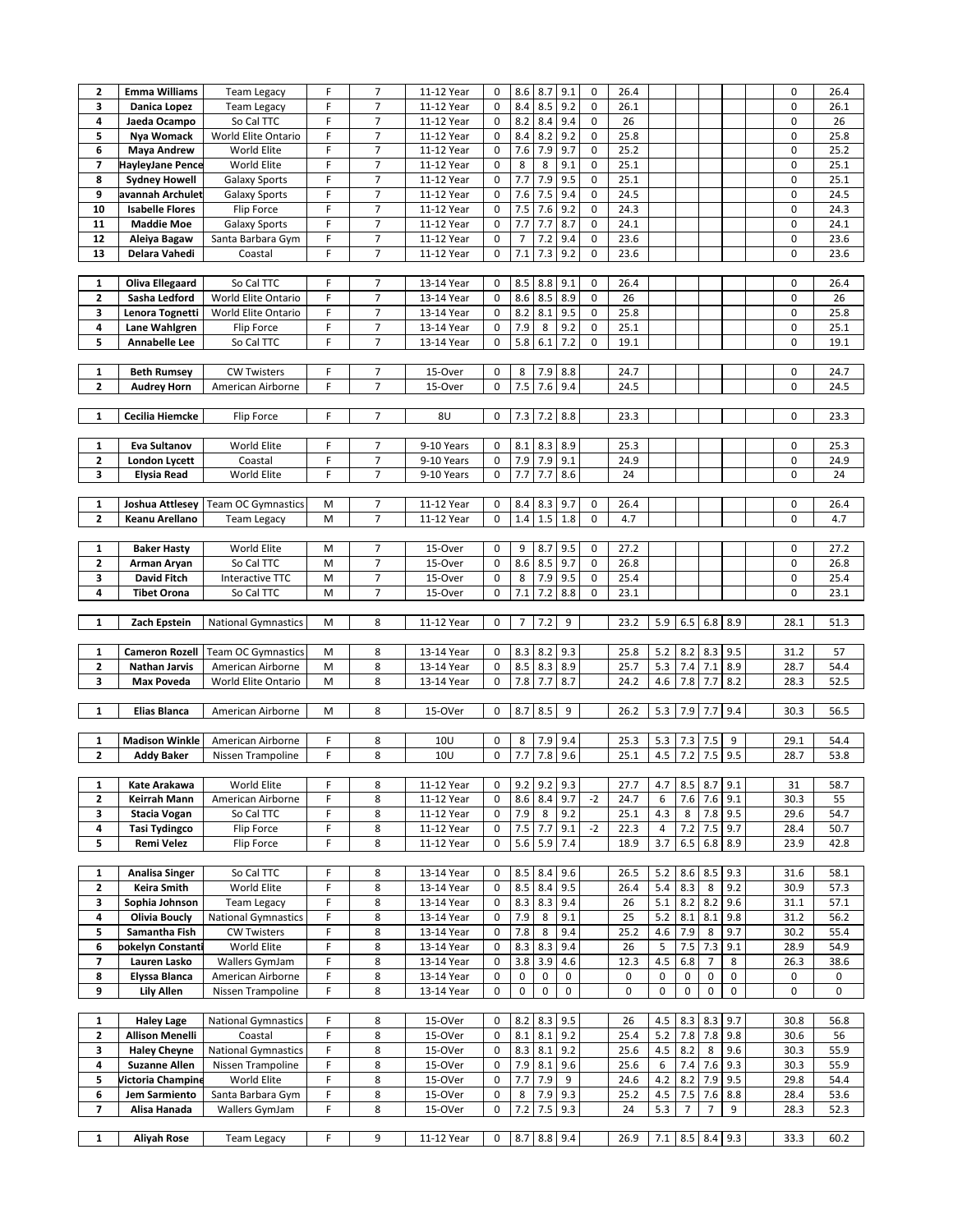| $\mathbf{z}$   | <b>Emma Williams</b>     | <b>Team Legacy</b>         | F           | 7                        | 11-12 Year | $\pmb{0}$        | 8.6            | 8.7         | 9.1       | $\mathsf 0$ | 26.4      |     |                 |                       |     | $\pmb{0}$ | 26.4 |
|----------------|--------------------------|----------------------------|-------------|--------------------------|------------|------------------|----------------|-------------|-----------|-------------|-----------|-----|-----------------|-----------------------|-----|-----------|------|
| 3              | Danica Lopez             | <b>Team Legacy</b>         | F           | $\overline{7}$           | 11-12 Year | $\mathbf 0$      | 8.4            | 8.5         | 9.2       | 0           | 26.1      |     |                 |                       |     | 0         | 26.1 |
|                |                          |                            |             |                          |            |                  |                |             |           |             |           |     |                 |                       |     |           |      |
| 4              | Jaeda Ocampo             | So Cal TTC                 | F           | 7                        | 11-12 Year | $\boldsymbol{0}$ | 8.2            | 8.4         | 9.4       | 0           | 26        |     |                 |                       |     | 0         | 26   |
| 5              | Nya Womack               | World Elite Ontario        | F           | 7                        | 11-12 Year | $\mathbf 0$      | 8.4            | 8.2         | 9.2       | 0           | 25.8      |     |                 |                       |     | 0         | 25.8 |
| 6              | <b>Maya Andrew</b>       | World Elite                | F           | $\overline{\phantom{a}}$ | 11-12 Year | $\boldsymbol{0}$ | 7.6            | 7.9         | 9.7       | 0           | 25.2      |     |                 |                       |     | 0         | 25.2 |
| 7              | HayleyJane Pence         | World Elite                | F           | 7                        | 11-12 Year | 0                | 8              | 8           | 9.1       | 0           | 25.1      |     |                 |                       |     | 0         | 25.1 |
| 8              | <b>Sydney Howell</b>     | <b>Galaxy Sports</b>       | F           | $\overline{7}$           | 11-12 Year | 0                | 7.7            | 7.9         | 9.5       | 0           | 25.1      |     |                 |                       |     | 0         | 25.1 |
| 9              | avannah Archulet         | <b>Galaxy Sports</b>       | F           | 7                        | 11-12 Year | $\pmb{0}$        | 7.6            | $7.5\,$     | 9.4       | 0           | 24.5      |     |                 |                       |     | 0         | 24.5 |
| 10             | <b>Isabelle Flores</b>   | Flip Force                 | F           | $\overline{7}$           | 11-12 Year | 0                | 7.5            | 7.6         | 9.2       | 0           | 24.3      |     |                 |                       |     | 0         | 24.3 |
| 11             | <b>Maddie Moe</b>        | <b>Galaxy Sports</b>       | F           | 7                        | 11-12 Year | $\mathbf 0$      | 7.7            | 7.7         | 8.7       | $\mathbf 0$ | 24.1      |     |                 |                       |     | 0         | 24.1 |
| 12             | Aleiya Bagaw             | Santa Barbara Gym          | $\mathsf F$ | 7                        | 11-12 Year | 0                | $\overline{7}$ | 7.2         | 9.4       | 0           | 23.6      |     |                 |                       |     | 0         | 23.6 |
|                |                          |                            |             |                          |            |                  |                |             |           |             |           |     |                 |                       |     |           |      |
| 13             | Delara Vahedi            | Coastal                    | F           | $\overline{7}$           | 11-12 Year | 0                | 7.1            | 7.3         | 9.2       | 0           | 23.6      |     |                 |                       |     | 0         | 23.6 |
|                |                          |                            |             |                          |            |                  |                |             |           |             |           |     |                 |                       |     |           |      |
| 1              | <b>Oliva Ellegaard</b>   | So Cal TTC                 | F           | 7                        | 13-14 Year | 0                | 8.5            | 8.8         | 9.1       | 0           | 26.4      |     |                 |                       |     | 0         | 26.4 |
| $\mathbf{2}$   | Sasha Ledford            | World Elite Ontario        | F           | $\overline{7}$           | 13-14 Year | $\mathbf 0$      | 8.6            | 8.5         | 8.9       | 0           | 26        |     |                 |                       |     | 0         | 26   |
| 3              | Lenora Tognetti          | World Elite Ontario        | F           | $\overline{7}$           | 13-14 Year | $\mathbf 0$      | 8.2            | 8.1         | 9.5       | 0           | 25.8      |     |                 |                       |     | 0         | 25.8 |
| 4              | Lane Wahlgren            | Flip Force                 | $\mathsf F$ | 7                        | 13-14 Year | $\mathbf 0$      | 7.9            | 8           | 9.2       | 0           | 25.1      |     |                 |                       |     | 0         | 25.1 |
| 5              | Annabelle Lee            | So Cal TTC                 | F           | 7                        | 13-14 Year | 0                | 5.8            | 6.1         | 7.2       | 0           | 19.1      |     |                 |                       |     | 0         | 19.1 |
|                |                          |                            |             |                          |            |                  |                |             |           |             |           |     |                 |                       |     |           |      |
| 1              | <b>Beth Rumsey</b>       | <b>CW Twisters</b>         | F           | 7                        | 15-Over    | 0                | 8              | 7.9         | 8.8       |             | 24.7      |     |                 |                       |     | 0         | 24.7 |
| $\mathbf{2}$   | <b>Audrey Horn</b>       | American Airborne          | F           | $\overline{7}$           | 15-Over    | $\mathbf 0$      | 7.5            | 7.6         | 9.4       |             | 24.5      |     |                 |                       |     | 0         | 24.5 |
|                |                          |                            |             |                          |            |                  |                |             |           |             |           |     |                 |                       |     |           |      |
| 1              | Cecilia Hiemcke          |                            | F           | 7                        | 8U         | 0                | 7.3            | 7.2         | 8.8       |             |           |     |                 |                       |     | 0         | 23.3 |
|                |                          | Flip Force                 |             |                          |            |                  |                |             |           |             | 23.3      |     |                 |                       |     |           |      |
|                | <b>Eva Sultanov</b>      |                            | F           |                          | 9-10 Years |                  |                |             |           |             |           |     |                 |                       |     |           |      |
| $\mathbf{1}$   |                          | World Elite                |             | 7                        |            | 0                | 8.1            | 8.3         | 8.9       |             | 25.3      |     |                 |                       |     | 0         | 25.3 |
| 2              | London Lycett            | Coastal                    | F           | $\overline{7}$           | 9-10 Years | 0                | 7.9            | 7.9         | 9.1       |             | 24.9      |     |                 |                       |     | $\pmb{0}$ | 24.9 |
| 3              | <b>Elysia Read</b>       | World Elite                | F           | 7                        | 9-10 Years | $\boldsymbol{0}$ | 7.7            | 7.7         | 8.6       |             | 24        |     |                 |                       |     | 0         | 24   |
|                |                          |                            |             |                          |            |                  |                |             |           |             |           |     |                 |                       |     |           |      |
| 1              | Joshua Attlesey          | <b>Team OC Gymnastics</b>  | M           | 7                        | 11-12 Year | 0                | 8.4            | 8.3         | 9.7       | 0           | 26.4      |     |                 |                       |     | 0         | 26.4 |
| $\mathbf{2}$   | Keanu Arellano           | <b>Team Legacy</b>         | M           | $\overline{7}$           | 11-12 Year | 0                | 1.4            | 1.5         | 1.8       | 0           | 4.7       |     |                 |                       |     | 0         | 4.7  |
|                |                          |                            |             |                          |            |                  |                |             |           |             |           |     |                 |                       |     |           |      |
| $\mathbf{1}$   | <b>Baker Hasty</b>       | World Elite                | M           | 7                        | 15-Over    | 0                | 9              | 8.7         | 9.5       | 0           | 27.2      |     |                 |                       |     | 0         | 27.2 |
| $\mathbf{2}$   | Arman Aryan              | So Cal TTC                 | M           | $\overline{7}$           | 15-Over    | 0                | 8.6            | 8.5         | 9.7       | 0           | 26.8      |     |                 |                       |     | 0         | 26.8 |
| 3              | David Fitch              | Interactive TTC            | M           | 7                        | 15-Over    | 0                | 8              | 7.9         | 9.5       | 0           | 25.4      |     |                 |                       |     | 0         | 25.4 |
| 4              | <b>Tibet Orona</b>       | So Cal TTC                 | M           | $\overline{7}$           | 15-Over    | 0                | 7.1            | 7.2         | 8.8       | 0           | 23.1      |     |                 |                       |     | 0         | 23.1 |
|                |                          |                            |             |                          |            |                  |                |             |           |             |           |     |                 |                       |     |           |      |
|                |                          |                            |             |                          |            |                  |                |             |           |             |           |     |                 |                       |     |           |      |
| $\mathbf{1}$   | Zach Epstein             | <b>National Gymnastics</b> | M           | 8                        | 11-12 Year | 0                | 7              | 7.2         | 9         |             | 23.2      | 5.9 | 6.5             | 6.8                   | 8.9 | 28.1      | 51.3 |
|                |                          |                            |             |                          |            |                  |                |             |           |             |           |     |                 |                       |     |           |      |
| $\mathbf{1}$   | <b>Cameron Rozell</b>    |                            | M           |                          |            | 0                |                |             |           |             |           |     |                 |                       |     | 31.2      |      |
|                |                          | <b>Team OC Gymnastics</b>  |             | 8                        | 13-14 Year |                  | 8.3            | 8.2         | 9.3       |             | 25.8      | 5.2 | 8.2             | 8.3                   | 9.5 |           | 57   |
| $\mathbf{2}$   | <b>Nathan Jarvis</b>     | American Airborne          | M           | 8                        | 13-14 Year | $\mathbf 0$      | 8.5            | 8.3         | 8.9       |             | 25.7      | 5.3 | 7.4             | 7.1                   | 8.9 | 28.7      | 54.4 |
| 3              | <b>Max Poveda</b>        | World Elite Ontario        | M           | 8                        | 13-14 Year | $\mathbf 0$      | 7.8            | 7.7         | 8.7       |             | 24.2      | 4.6 | 7.8             | 7.7                   | 8.2 | 28.3      | 52.5 |
|                |                          |                            |             |                          |            |                  |                |             |           |             |           |     |                 |                       |     |           |      |
| $\mathbf{1}$   | <b>Elias Blanca</b>      | American Airborne          | M           | 8                        | 15-OVer    | $\mathbf 0$      | 8.7            | 8.5         | 9         |             | 26.2      | 5.3 | 7.9             | 7.7                   | 9.4 | 30.3      | 56.5 |
|                |                          |                            |             |                          |            |                  |                |             |           |             |           |     |                 |                       |     |           |      |
| 1              | <b>Madison Winkle</b>    | American Airborne          | F           | 8                        | 10U        | 0                | 8              | 7.9         | 9.4       |             | 25.3      | 5.3 | 7.3             | 7.5                   | 9   | 29.1      | 54.4 |
| $\mathbf{z}$   | <b>Addy Baker</b>        | Nissen Trampoline          | F           | 8                        | 10U        | $\mathbf 0$      | 7.7            | 7.8         | 9.6       |             | 25.1      | 4.5 | 7.2             | 7.5                   | 9.5 | 28.7      | 53.8 |
|                |                          |                            |             |                          |            |                  |                |             |           |             |           |     |                 |                       |     |           |      |
| 1              | Kate Arakawa             | World Elite                | F           | 8                        | 11-12 Year | 0                | 9.2            | $9.2$ 9.3   |           |             | 27.7      | 4.7 | $8.5$ $8.7$ 9.1 |                       |     | 31        | 58.7 |
| 2              | Keirrah Mann             | American Airborne          | F           | 8                        | 11-12 Year | 0                | 8.6            | 8.4 9.7     |           | $-2$        | 24.7      | 6   |                 | $7.6$ 7.6             | 9.1 | 30.3      | 55   |
| 3              | <b>Stacia Vogan</b>      | So Cal TTC                 | F           | 8                        | 11-12 Year | 0                | 7.9            | 8           | 9.2       |             | 25.1      | 4.3 | 8               | 7.8                   | 9.5 | 29.6      | 54.7 |
| 4              | <b>Tasi Tydingco</b>     | Flip Force                 | F           | 8                        | 11-12 Year | 0                | 7.5            | 7.7         | 9.1       | $-2$        | 22.3      | 4   | 7.2             | 7.5                   | 9.7 | 28.4      | 50.7 |
| 5              | Remi Velez               | Flip Force                 | F           | 8                        | 11-12 Year | $\mathbf 0$      | 5.6            | 5.9 7.4     |           |             | 18.9      | 3.7 | $6.5 \ 6.8$     |                       | 8.9 | 23.9      | 42.8 |
|                |                          |                            |             |                          |            |                  |                |             |           |             |           |     |                 |                       |     |           |      |
| 1              | <b>Analisa Singer</b>    | So Cal TTC                 | F           | 8                        | 13-14 Year | 0                | 8.5            | 8.4         | 9.6       |             | 26.5      | 5.2 | $8.6$ 8.5       |                       | 9.3 | 31.6      | 58.1 |
| $\mathbf{z}$   | Keira Smith              | World Elite                | F           | 8                        | 13-14 Year | 0                | 8.5            | 8.4         | 9.5       |             | 26.4      | 5.4 | 8.3             | 8                     | 9.2 | 30.9      | 57.3 |
| 3              | Sophia Johnson           | <b>Team Legacy</b>         | F           | 8                        | 13-14 Year | 0                | 8.3            | $8.3$ 9.4   |           |             | 26        | 5.1 | 8.2             | 8.2                   | 9.6 | 31.1      | 57.1 |
| 4              | <b>Olivia Boucly</b>     | <b>National Gymnastics</b> | F           | 8                        | 13-14 Year | 0                | 7.9            | 8           | 9.1       |             | 25        | 5.2 | 8.1             | $8.1\,$               | 9.8 | 31.2      | 56.2 |
| 5              | Samantha Fish            | <b>CW Twisters</b>         | F           | 8                        | 13-14 Year | 0                | 7.8            | 8           | 9.4       |             | 25.2      | 4.6 | 7.9             | 8                     | 9.7 | 30.2      | 55.4 |
| 6              | ookelyn Constanti        | World Elite                | F           | 8                        | 13-14 Year | 0                | 8.3            | 8.3         | 9.4       |             | 26        | 5   | 7.5             |                       | 9.1 | 28.9      | 54.9 |
| 7              | Lauren Lasko             | Wallers GymJam             | F           |                          | 13-14 Year | 0                | 3.8            |             | 4.6       |             |           | 4.5 | 6.8             | 7.3<br>$\overline{7}$ | 8   | 26.3      | 38.6 |
| 8              | Elyssa Blanca            | American Airborne          | F           | 8<br>8                   | 13-14 Year | 0                | 0              | 3.9<br>0    | 0         |             | 12.3<br>0 | 0   | 0               | 0                     | 0   | 0         | 0    |
| 9              | <b>Lily Allen</b>        | Nissen Trampoline          | F           | 8                        |            | 0                | 0              | $\mathsf 0$ | $\pmb{0}$ |             | 0         | 0   | 0               | 0                     | 0   | 0         | 0    |
|                |                          |                            |             |                          | 13-14 Year |                  |                |             |           |             |           |     |                 |                       |     |           |      |
|                |                          |                            |             |                          |            | 0                |                |             |           |             |           |     |                 |                       |     |           |      |
| 1              | <b>Haley Lage</b>        | <b>National Gymnastics</b> | F           | 8                        | 15-OVer    |                  | 8.2            | 8.3         | 9.5       |             | 26        | 4.5 | 8.3             | 8.3                   | 9.7 | 30.8      | 56.8 |
| 2              | <b>Allison Menelli</b>   | Coastal                    | F           | 8                        | 15-OVer    | 0                | 8.1            | 8.1         | 9.2       |             | 25.4      | 5.2 | 7.8             | 7.8                   | 9.8 | 30.6      | 56   |
| 3              | <b>Haley Cheyne</b>      | <b>National Gymnastics</b> | F           | 8                        | 15-OVer    | 0                | 8.3            | 8.1         | 9.2       |             | 25.6      | 4.5 | 8.2             | 8                     | 9.6 | 30.3      | 55.9 |
| 4              | <b>Suzanne Allen</b>     | Nissen Trampoline          | F           | 8                        | 15-OVer    | 0                | 7.9            | 8.1         | 9.6       |             | 25.6      | 6   | 7.4             | 7.6                   | 9.3 | 30.3      | 55.9 |
| 5              | <b>Victoria Champine</b> | World Elite                | F           | 8                        | 15-OVer    | 0                | 7.7            | 7.9         | 9         |             | 24.6      | 4.2 | 8.2             | 7.9                   | 9.5 | 29.8      | 54.4 |
| 6              | Jem Sarmiento            | Santa Barbara Gym          | F           | 8                        | 15-OVer    | 0                | 8              | 7.9         | 9.3       |             | 25.2      | 4.5 | 7.5             | 7.6                   | 8.8 | 28.4      | 53.6 |
| $\overline{ }$ | Alisa Hanada             | Wallers GymJam             | F           | 8                        | 15-OVer    | 0                | 7.2            | 7.5         | 9.3       |             | 24        | 5.3 | 7               | $\overline{7}$        | 9   | 28.3      | 52.3 |
| 1              | Aliyah Rose              | <b>Team Legacy</b>         | F           | 9                        | 11-12 Year | 0                | 8.7            | 8.8         | 9.4       |             | 26.9      | 7.1 | 8.5 8.4         |                       | 9.3 | 33.3      | 60.2 |